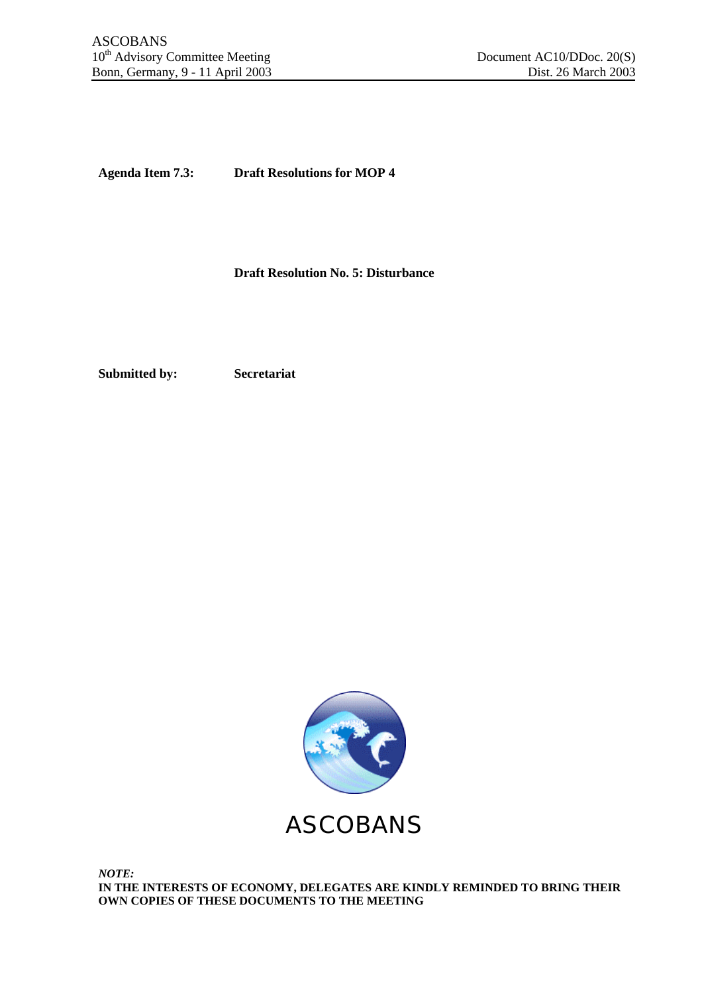**Agenda Item 7.3: Draft Resolutions for MOP 4**

**Draft Resolution No. 5: Disturbance**

**Submitted by: Secretariat**

ASCOBANS

*NOTE:* **IN THE INTERESTS OF ECONOMY, DELEGATES ARE KINDLY REMINDED TO BRING THEIR OWN COPIES OF THESE DOCUMENTS TO THE MEETING**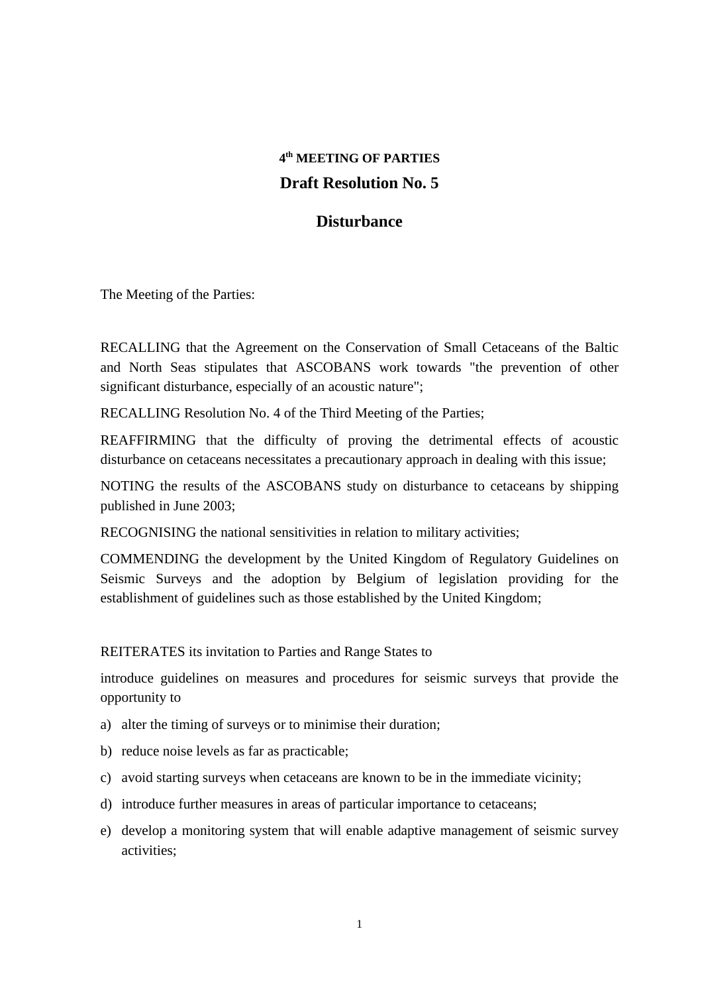## **4 th MEETING OF PARTIES Draft Resolution No. 5**

## **Disturbance**

The Meeting of the Parties:

RECALLING that the Agreement on the Conservation of Small Cetaceans of the Baltic and North Seas stipulates that ASCOBANS work towards "the prevention of other significant disturbance, especially of an acoustic nature";

RECALLING Resolution No. 4 of the Third Meeting of the Parties;

REAFFIRMING that the difficulty of proving the detrimental effects of acoustic disturbance on cetaceans necessitates a precautionary approach in dealing with this issue;

NOTING the results of the ASCOBANS study on disturbance to cetaceans by shipping published in June 2003;

RECOGNISING the national sensitivities in relation to military activities;

COMMENDING the development by the United Kingdom of Regulatory Guidelines on Seismic Surveys and the adoption by Belgium of legislation providing for the establishment of guidelines such as those established by the United Kingdom;

## REITERATES its invitation to Parties and Range States to

introduce guidelines on measures and procedures for seismic surveys that provide the opportunity to

- a) alter the timing of surveys or to minimise their duration;
- b) reduce noise levels as far as practicable;
- c) avoid starting surveys when cetaceans are known to be in the immediate vicinity;
- d) introduce further measures in areas of particular importance to cetaceans;
- e) develop a monitoring system that will enable adaptive management of seismic survey activities;